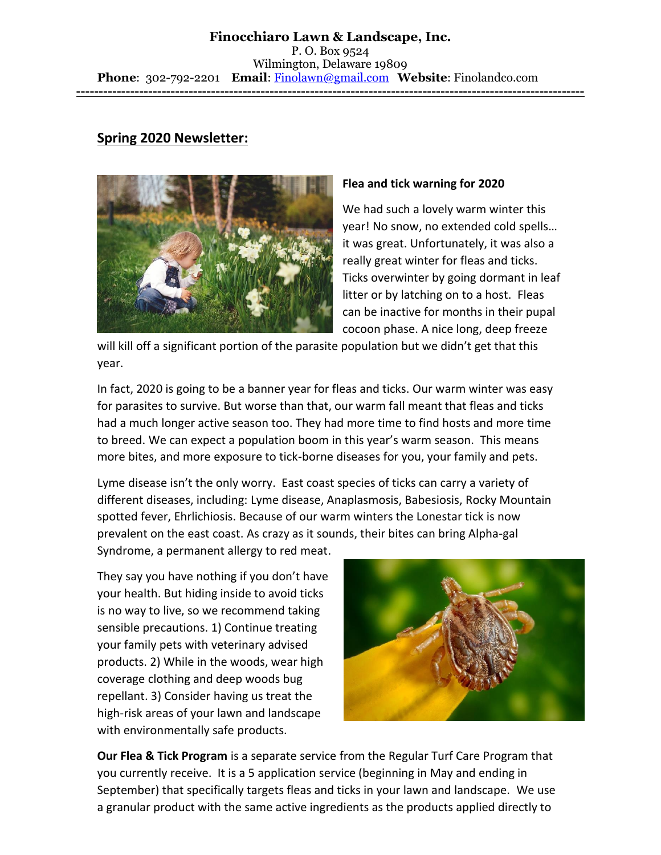## **Spring 2020 Newsletter:**



## **Flea and tick warning for 2020**

We had such a lovely warm winter this year! No snow, no extended cold spells… it was great. Unfortunately, it was also a really great winter for fleas and ticks. Ticks overwinter by going dormant in leaf litter or by latching on to a host. Fleas can be inactive for months in their pupal cocoon phase. A nice long, deep freeze

will kill off a significant portion of the parasite population but we didn't get that this year.

In fact, 2020 is going to be a banner year for fleas and ticks. Our warm winter was easy for parasites to survive. But worse than that, our warm fall meant that fleas and ticks had a much longer active season too. They had more time to find hosts and more time to breed. We can expect a population boom in this year's warm season. This means more bites, and more exposure to tick-borne diseases for you, your family and pets.

Lyme disease isn't the only worry. East coast species of ticks can carry a variety of different diseases, including: Lyme disease, Anaplasmosis, Babesiosis, Rocky Mountain spotted fever, Ehrlichiosis. Because of our warm winters the Lonestar tick is now prevalent on the east coast. As crazy as it sounds, their bites can bring Alpha-gal Syndrome, a permanent allergy to red meat.

They say you have nothing if you don't have your health. But hiding inside to avoid ticks is no way to live, so we recommend taking sensible precautions. 1) Continue treating your family pets with veterinary advised products. 2) While in the woods, wear high coverage clothing and deep woods bug repellant. 3) Consider having us treat the high-risk areas of your lawn and landscape with environmentally safe products.



**Our Flea & Tick Program** is a separate service from the Regular Turf Care Program that you currently receive. It is a 5 application service (beginning in May and ending in September) that specifically targets fleas and ticks in your lawn and landscape. We use a granular product with the same active ingredients as the products applied directly to